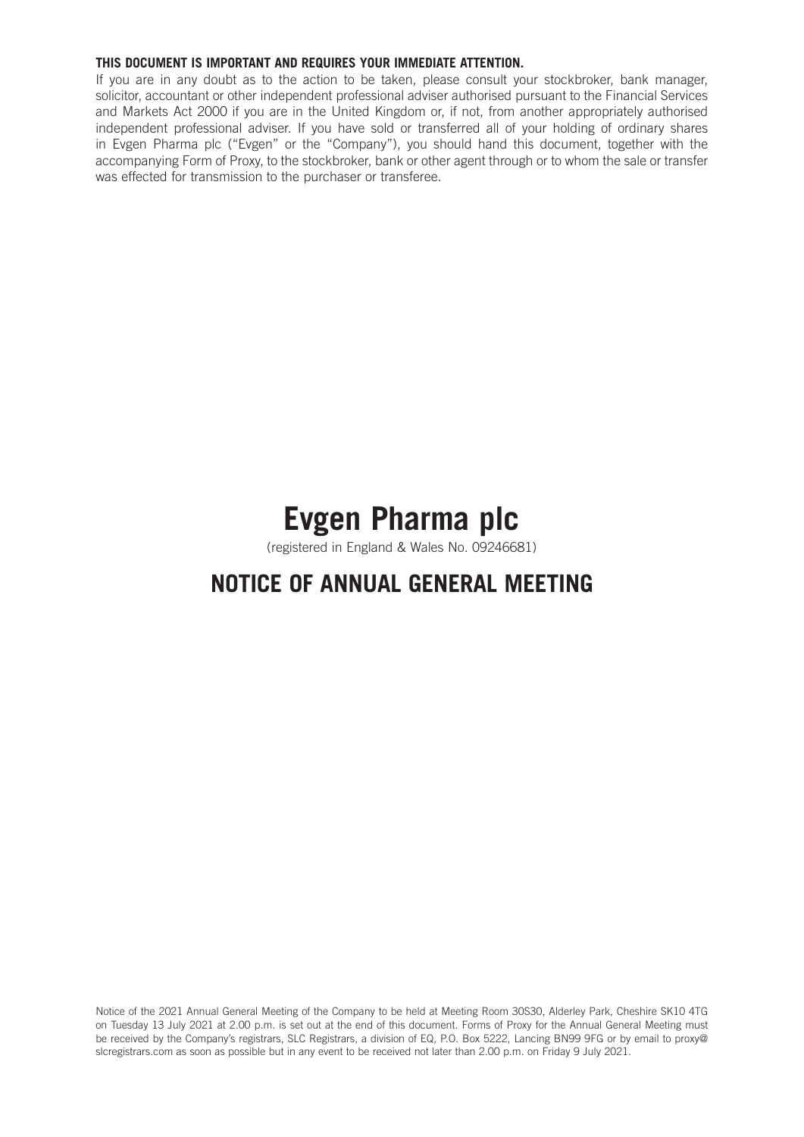#### **THIS DOCUMENT IS IMPORTANT AND REQUIRES YOUR IMMEDIATE ATTENTION.**

If you are in any doubt as to the action to be taken, please consult your stockbroker, bank manager, solicitor, accountant or other independent professional adviser authorised pursuant to the Financial Services and Markets Act 2000 if you are in the United Kingdom or, if not, from another appropriately authorised independent professional adviser. If you have sold or transferred all of your holding of ordinary shares in Evgen Pharma plc ("Evgen" or the "Company"), you should hand this document, together with the accompanying Form of Proxy, to the stockbroker, bank or other agent through or to whom the sale or transfer was effected for transmission to the purchaser or transferee.

# **Evgen Pharma plc**

(registered in England & Wales No. 09246681)

### **NOTICE OF ANNUAL GENERAL MEETING**

Notice of the 2021 Annual General Meeting of the Company to be held at Meeting Room 30S30, Alderley Park, Cheshire SK10 4TG on Tuesday 13 July 2021 at 2.00 p.m. is set out at the end of this document. Forms of Proxy for the Annual General Meeting must be received by the Company's registrars, SLC Registrars, a division of EQ, P.O. Box 5222, Lancing BN99 9FG or by email to proxy@ slcregistrars.com as soon as possible but in any event to be received not later than 2.00 p.m. on Friday 9 July 2021.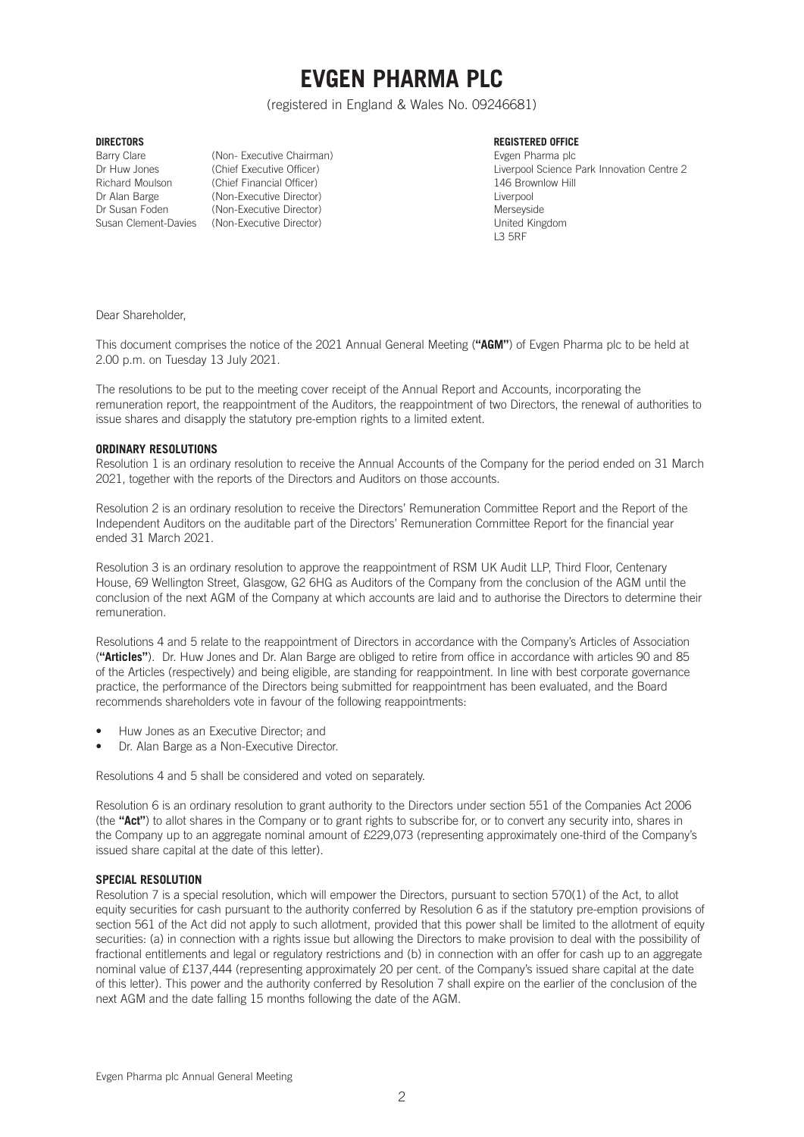## **EVGEN PHARMA PLC**

(registered in England & Wales No. 09246681)

#### **DIRECTORS**

Barry Clare (Non- Executive Chairman) Dr Huw Jones (Chief Executive Officer) Richard Moulson (Chief Financial Officer) Dr Alan Barge (Non-Executive Director) Dr Susan Foden (Non-Executive Director) Susan Clement-Davies (Non-Executive Director)

#### **REGISTERED OFFICE**

Evgen Pharma plc Liverpool Science Park Innovation Centre 2 146 Brownlow Hill Liverpool Merseyside United Kingdom L3 5RF

Dear Shareholder,

This document comprises the notice of the 2021 Annual General Meeting (**"AGM"**) of Evgen Pharma plc to be held at 2.00 p.m. on Tuesday 13 July 2021.

The resolutions to be put to the meeting cover receipt of the Annual Report and Accounts, incorporating the remuneration report, the reappointment of the Auditors, the reappointment of two Directors, the renewal of authorities to issue shares and disapply the statutory pre-emption rights to a limited extent.

#### **ORDINARY RESOLUTIONS**

Resolution 1 is an ordinary resolution to receive the Annual Accounts of the Company for the period ended on 31 March 2021, together with the reports of the Directors and Auditors on those accounts.

Resolution 2 is an ordinary resolution to receive the Directors' Remuneration Committee Report and the Report of the Independent Auditors on the auditable part of the Directors' Remuneration Committee Report for the financial year ended 31 March 2021.

Resolution 3 is an ordinary resolution to approve the reappointment of RSM UK Audit LLP, Third Floor, Centenary House, 69 Wellington Street, Glasgow, G2 6HG as Auditors of the Company from the conclusion of the AGM until the conclusion of the next AGM of the Company at which accounts are laid and to authorise the Directors to determine their remuneration.

Resolutions 4 and 5 relate to the reappointment of Directors in accordance with the Company's Articles of Association (**"Articles"**). Dr. Huw Jones and Dr. Alan Barge are obliged to retire from office in accordance with articles 90 and 85 of the Articles (respectively) and being eligible, are standing for reappointment. In line with best corporate governance practice, the performance of the Directors being submitted for reappointment has been evaluated, and the Board recommends shareholders vote in favour of the following reappointments:

- Huw Jones as an Executive Director; and
- Dr. Alan Barge as a Non-Executive Director.

Resolutions 4 and 5 shall be considered and voted on separately.

Resolution 6 is an ordinary resolution to grant authority to the Directors under section 551 of the Companies Act 2006 (the **"Act"**) to allot shares in the Company or to grant rights to subscribe for, or to convert any security into, shares in the Company up to an aggregate nominal amount of £229,073 (representing approximately one-third of the Company's issued share capital at the date of this letter).

#### **SPECIAL RESOLUTION**

Resolution 7 is a special resolution, which will empower the Directors, pursuant to section 570(1) of the Act, to allot equity securities for cash pursuant to the authority conferred by Resolution 6 as if the statutory pre-emption provisions of section 561 of the Act did not apply to such allotment, provided that this power shall be limited to the allotment of equity securities: (a) in connection with a rights issue but allowing the Directors to make provision to deal with the possibility of fractional entitlements and legal or regulatory restrictions and (b) in connection with an offer for cash up to an aggregate nominal value of £137,444 (representing approximately 20 per cent. of the Company's issued share capital at the date of this letter). This power and the authority conferred by Resolution 7 shall expire on the earlier of the conclusion of the next AGM and the date falling 15 months following the date of the AGM.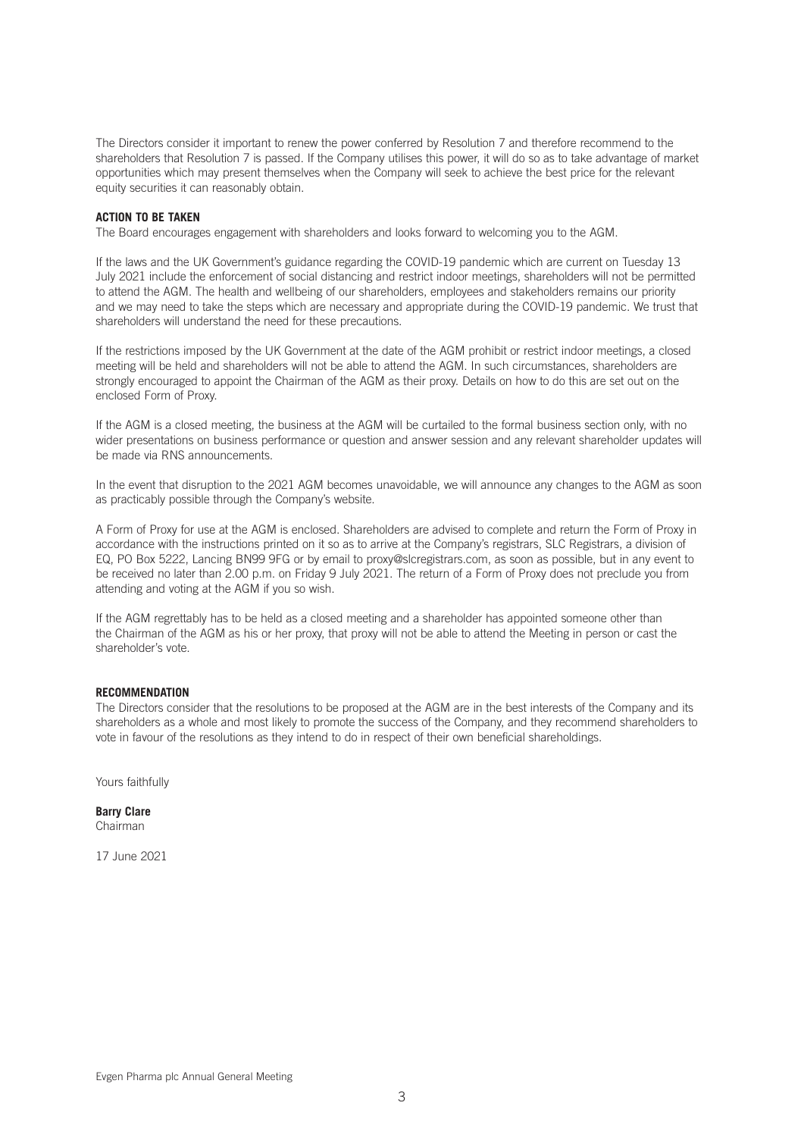The Directors consider it important to renew the power conferred by Resolution 7 and therefore recommend to the shareholders that Resolution 7 is passed. If the Company utilises this power, it will do so as to take advantage of market opportunities which may present themselves when the Company will seek to achieve the best price for the relevant equity securities it can reasonably obtain.

#### **ACTION TO BE TAKEN**

The Board encourages engagement with shareholders and looks forward to welcoming you to the AGM.

If the laws and the UK Government's guidance regarding the COVID-19 pandemic which are current on Tuesday 13 July 2021 include the enforcement of social distancing and restrict indoor meetings, shareholders will not be permitted to attend the AGM. The health and wellbeing of our shareholders, employees and stakeholders remains our priority and we may need to take the steps which are necessary and appropriate during the COVID-19 pandemic. We trust that shareholders will understand the need for these precautions.

If the restrictions imposed by the UK Government at the date of the AGM prohibit or restrict indoor meetings, a closed meeting will be held and shareholders will not be able to attend the AGM. In such circumstances, shareholders are strongly encouraged to appoint the Chairman of the AGM as their proxy. Details on how to do this are set out on the enclosed Form of Proxy.

If the AGM is a closed meeting, the business at the AGM will be curtailed to the formal business section only, with no wider presentations on business performance or question and answer session and any relevant shareholder updates will be made via RNS announcements.

In the event that disruption to the 2021 AGM becomes unavoidable, we will announce any changes to the AGM as soon as practicably possible through the Company's website.

A Form of Proxy for use at the AGM is enclosed. Shareholders are advised to complete and return the Form of Proxy in accordance with the instructions printed on it so as to arrive at the Company's registrars, SLC Registrars, a division of EQ, PO Box 5222, Lancing BN99 9FG or by email to proxy@slcregistrars.com, as soon as possible, but in any event to be received no later than 2.00 p.m. on Friday 9 July 2021. The return of a Form of Proxy does not preclude you from attending and voting at the AGM if you so wish.

If the AGM regrettably has to be held as a closed meeting and a shareholder has appointed someone other than the Chairman of the AGM as his or her proxy, that proxy will not be able to attend the Meeting in person or cast the shareholder's vote.

#### **RECOMMENDATION**

The Directors consider that the resolutions to be proposed at the AGM are in the best interests of the Company and its shareholders as a whole and most likely to promote the success of the Company, and they recommend shareholders to vote in favour of the resolutions as they intend to do in respect of their own beneficial shareholdings.

Yours faithfully

**Barry Clare** Chairman

17 June 2021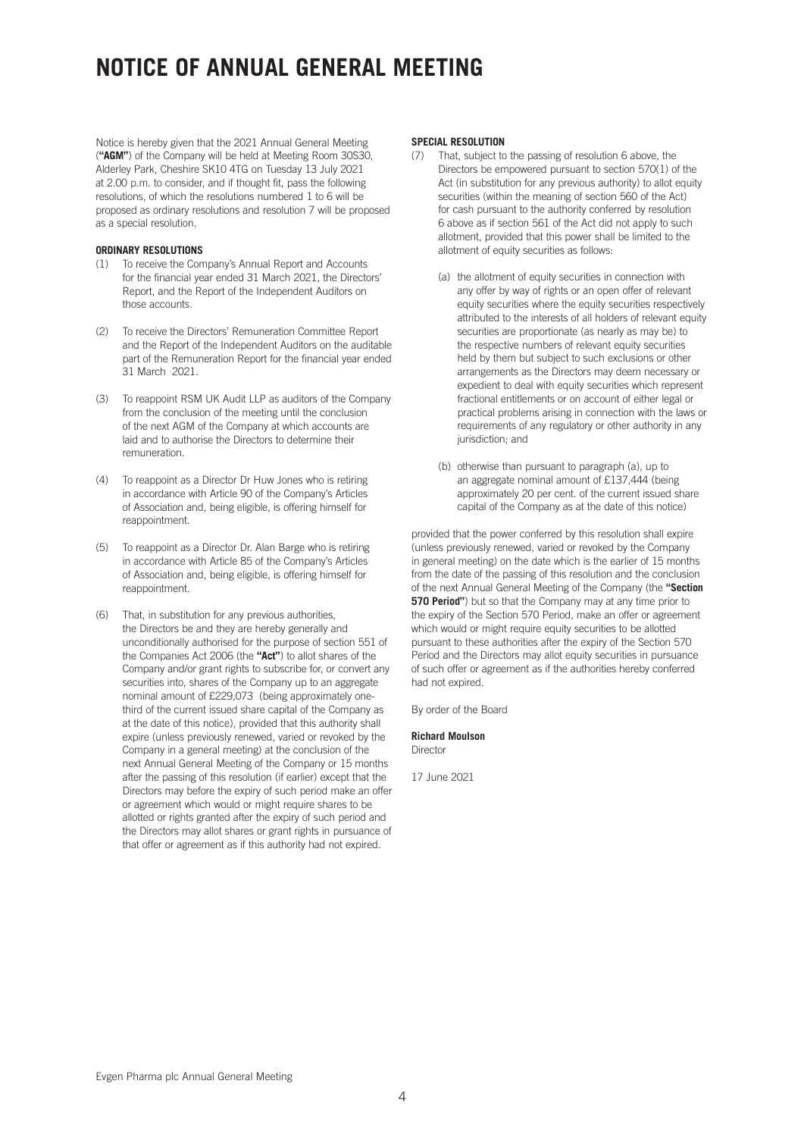### **NOTICE OF ANNUAL GENERAL MEETING**

Notice is hereby given that the 2021 Annual General Meeting (**"AGM"**) of the Company will be held at Meeting Room 30S30, Alderley Park, Cheshire SK10 4TG on Tuesday 13 July 2021 at 2.00 p.m. to consider, and if thought fit, pass the following resolutions, of which the resolutions numbered 1 to 6 will be proposed as ordinary resolutions and resolution 7 will be proposed as a special resolution.

#### **ORDINARY RESOLUTIONS**

- (1) To receive the Company's Annual Report and Accounts for the financial year ended 31 March 2021, the Directors' Report, and the Report of the Independent Auditors on those accounts.
- (2) To receive the Directors' Remuneration Committee Report and the Report of the Independent Auditors on the auditable part of the Remuneration Report for the financial year ended 31 March 2021.
- (3) To reappoint RSM UK Audit LLP as auditors of the Company from the conclusion of the meeting until the conclusion of the next AGM of the Company at which accounts are laid and to authorise the Directors to determine their remuneration.
- (4) To reappoint as a Director Dr Huw Jones who is retiring in accordance with Article 90 of the Company's Articles of Association and, being eligible, is offering himself for reappointment.
- (5) To reappoint as a Director Dr. Alan Barge who is retiring in accordance with Article 85 of the Company's Articles of Association and, being eligible, is offering himself for reappointment.
- (6) That, in substitution for any previous authorities, the Directors be and they are hereby generally and unconditionally authorised for the purpose of section 551 of the Companies Act 2006 (the **"Act"**) to allot shares of the Company and/or grant rights to subscribe for, or convert any securities into, shares of the Company up to an aggregate nominal amount of £229,073 (being approximately onethird of the current issued share capital of the Company as at the date of this notice), provided that this authority shall expire (unless previously renewed, varied or revoked by the Company in a general meeting) at the conclusion of the next Annual General Meeting of the Company or 15 months after the passing of this resolution (if earlier) except that the Directors may before the expiry of such period make an offer or agreement which would or might require shares to be allotted or rights granted after the expiry of such period and the Directors may allot shares or grant rights in pursuance of that offer or agreement as if this authority had not expired.

#### **SPECIAL RESOLUTION**

- (7) That, subject to the passing of resolution 6 above, the Directors be empowered pursuant to section 570(1) of the Act (in substitution for any previous authority) to allot equity securities (within the meaning of section 560 of the Act) for cash pursuant to the authority conferred by resolution 6 above as if section 561 of the Act did not apply to such allotment, provided that this power shall be limited to the allotment of equity securities as follows:
	- (a) the allotment of equity securities in connection with any offer by way of rights or an open offer of relevant equity securities where the equity securities respectively attributed to the interests of all holders of relevant equity securities are proportionate (as nearly as may be) to the respective numbers of relevant equity securities held by them but subject to such exclusions or other arrangements as the Directors may deem necessary or expedient to deal with equity securities which represent fractional entitlements or on account of either legal or practical problems arising in connection with the laws or requirements of any regulatory or other authority in any jurisdiction: and
	- (b) otherwise than pursuant to paragraph (a), up to an aggregate nominal amount of £137,444 (being approximately 20 per cent. of the current issued share capital of the Company as at the date of this notice)

provided that the power conferred by this resolution shall expire (unless previously renewed, varied or revoked by the Company in general meeting) on the date which is the earlier of 15 months from the date of the passing of this resolution and the conclusion of the next Annual General Meeting of the Company (the **"Section 570 Period"**) but so that the Company may at any time prior to the expiry of the Section 570 Period, make an offer or agreement which would or might require equity securities to be allotted pursuant to these authorities after the expiry of the Section 570 Period and the Directors may allot equity securities in pursuance of such offer or agreement as if the authorities hereby conferred had not expired.

By order of the Board

**Richard Moulson Director** 

17 June 2021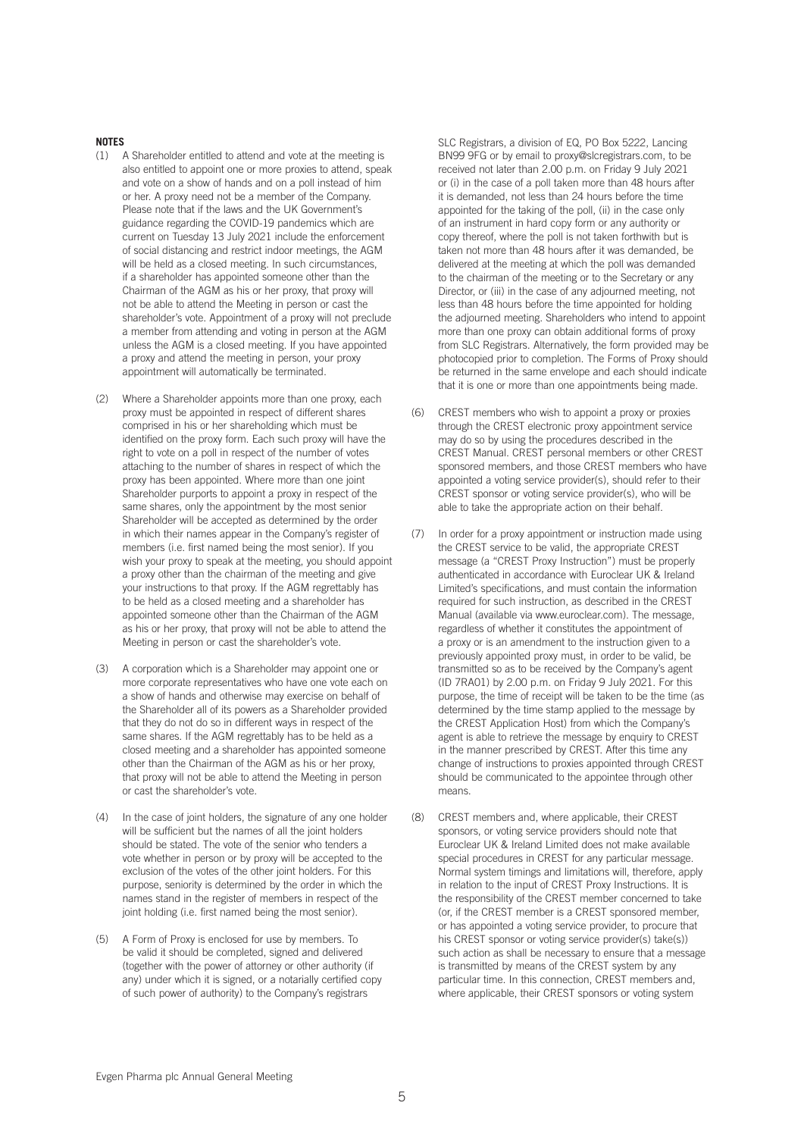#### **NOTES**

- (1) A Shareholder entitled to attend and vote at the meeting is also entitled to appoint one or more proxies to attend, speak and vote on a show of hands and on a poll instead of him or her. A proxy need not be a member of the Company. Please note that if the laws and the UK Government's guidance regarding the COVID-19 pandemics which are current on Tuesday 13 July 2021 include the enforcement of social distancing and restrict indoor meetings, the AGM will be held as a closed meeting. In such circumstances, if a shareholder has appointed someone other than the Chairman of the AGM as his or her proxy, that proxy will not be able to attend the Meeting in person or cast the shareholder's vote. Appointment of a proxy will not preclude a member from attending and voting in person at the AGM unless the AGM is a closed meeting. If you have appointed a proxy and attend the meeting in person, your proxy appointment will automatically be terminated.
- (2) Where a Shareholder appoints more than one proxy, each proxy must be appointed in respect of different shares comprised in his or her shareholding which must be identified on the proxy form. Each such proxy will have the right to vote on a poll in respect of the number of votes attaching to the number of shares in respect of which the proxy has been appointed. Where more than one joint Shareholder purports to appoint a proxy in respect of the same shares, only the appointment by the most senior Shareholder will be accepted as determined by the order in which their names appear in the Company's register of members (i.e. first named being the most senior). If you wish your proxy to speak at the meeting, you should appoint a proxy other than the chairman of the meeting and give your instructions to that proxy. If the AGM regrettably has to be held as a closed meeting and a shareholder has appointed someone other than the Chairman of the AGM as his or her proxy, that proxy will not be able to attend the Meeting in person or cast the shareholder's vote.
- (3) A corporation which is a Shareholder may appoint one or more corporate representatives who have one vote each on a show of hands and otherwise may exercise on behalf of the Shareholder all of its powers as a Shareholder provided that they do not do so in different ways in respect of the same shares. If the AGM regrettably has to be held as a closed meeting and a shareholder has appointed someone other than the Chairman of the AGM as his or her proxy, that proxy will not be able to attend the Meeting in person or cast the shareholder's vote.
- (4) In the case of joint holders, the signature of any one holder will be sufficient but the names of all the joint holders should be stated. The vote of the senior who tenders a vote whether in person or by proxy will be accepted to the exclusion of the votes of the other joint holders. For this purpose, seniority is determined by the order in which the names stand in the register of members in respect of the joint holding (i.e. first named being the most senior).
- (5) A Form of Proxy is enclosed for use by members. To be valid it should be completed, signed and delivered (together with the power of attorney or other authority (if any) under which it is signed, or a notarially certified copy of such power of authority) to the Company's registrars

SLC Registrars, a division of EQ, PO Box 5222, Lancing BN99 9FG or by email to proxy@slcregistrars.com, to be received not later than 2.00 p.m. on Friday 9 July 2021 or (i) in the case of a poll taken more than 48 hours after it is demanded, not less than 24 hours before the time appointed for the taking of the poll, (ii) in the case only of an instrument in hard copy form or any authority or copy thereof, where the poll is not taken forthwith but is taken not more than 48 hours after it was demanded, be delivered at the meeting at which the poll was demanded to the chairman of the meeting or to the Secretary or any Director, or (iii) in the case of any adjourned meeting, not less than 48 hours before the time appointed for holding the adjourned meeting. Shareholders who intend to appoint more than one proxy can obtain additional forms of proxy from SLC Registrars. Alternatively, the form provided may be photocopied prior to completion. The Forms of Proxy should be returned in the same envelope and each should indicate that it is one or more than one appointments being made.

- (6) CREST members who wish to appoint a proxy or proxies through the CREST electronic proxy appointment service may do so by using the procedures described in the CREST Manual. CREST personal members or other CREST sponsored members, and those CREST members who have appointed a voting service provider(s), should refer to their CREST sponsor or voting service provider(s), who will be able to take the appropriate action on their behalf.
- (7) In order for a proxy appointment or instruction made using the CREST service to be valid, the appropriate CREST message (a "CREST Proxy Instruction") must be properly authenticated in accordance with Euroclear UK & Ireland Limited's specifications, and must contain the information required for such instruction, as described in the CREST Manual (available via www.euroclear.com). The message, regardless of whether it constitutes the appointment of a proxy or is an amendment to the instruction given to a previously appointed proxy must, in order to be valid, be transmitted so as to be received by the Company's agent (ID 7RA01) by 2.00 p.m. on Friday 9 July 2021. For this purpose, the time of receipt will be taken to be the time (as determined by the time stamp applied to the message by the CREST Application Host) from which the Company's agent is able to retrieve the message by enquiry to CREST in the manner prescribed by CREST. After this time any change of instructions to proxies appointed through CREST should be communicated to the appointee through other means.
- (8) CREST members and, where applicable, their CREST sponsors, or voting service providers should note that Euroclear UK & Ireland Limited does not make available special procedures in CREST for any particular message. Normal system timings and limitations will, therefore, apply in relation to the input of CREST Proxy Instructions. It is the responsibility of the CREST member concerned to take (or, if the CREST member is a CREST sponsored member, or has appointed a voting service provider, to procure that his CREST sponsor or voting service provider(s) take(s)) such action as shall be necessary to ensure that a message is transmitted by means of the CREST system by any particular time. In this connection, CREST members and, where applicable, their CREST sponsors or voting system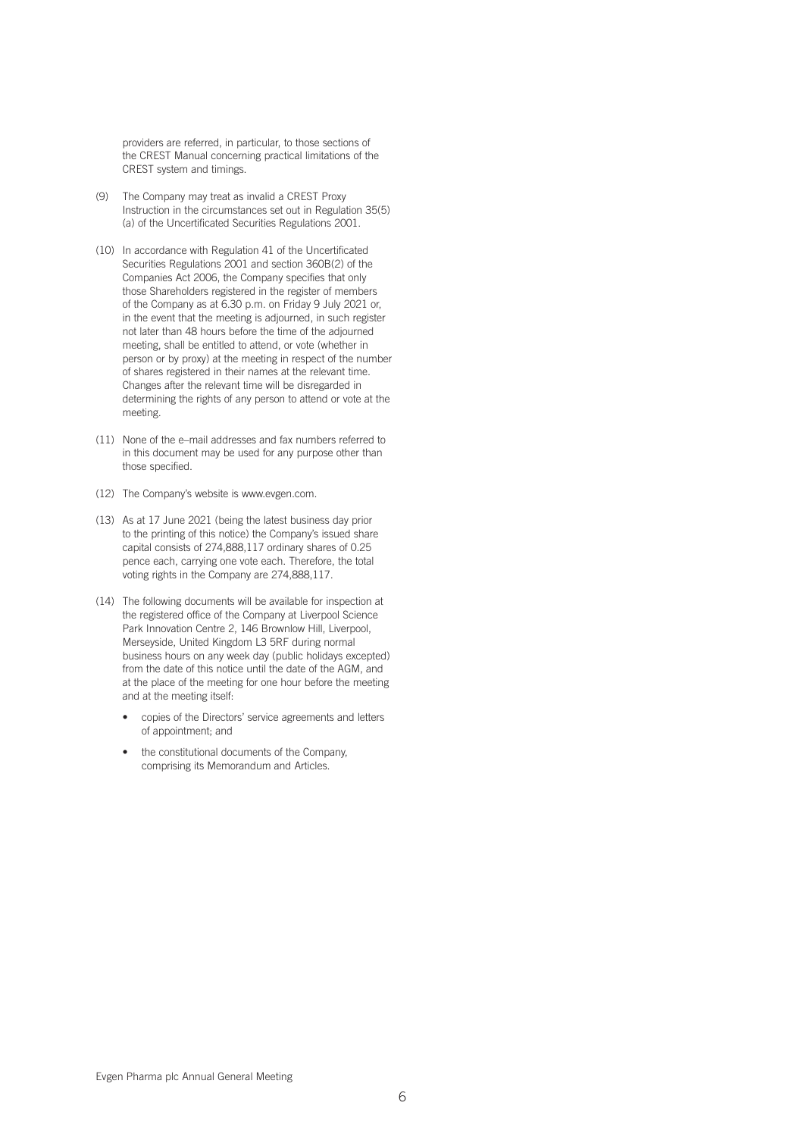providers are referred, in particular, to those sections of the CREST Manual concerning practical limitations of the CREST system and timings.

- (9) The Company may treat as invalid a CREST Proxy Instruction in the circumstances set out in Regulation 35(5) (a) of the Uncertificated Securities Regulations 2001.
- (10) In accordance with Regulation 41 of the Uncertificated Securities Regulations 2001 and section 360B(2) of the Companies Act 2006, the Company specifies that only those Shareholders registered in the register of members of the Company as at 6.30 p.m. on Friday 9 July 2021 or, in the event that the meeting is adjourned, in such register not later than 48 hours before the time of the adjourned meeting, shall be entitled to attend, or vote (whether in person or by proxy) at the meeting in respect of the number of shares registered in their names at the relevant time. Changes after the relevant time will be disregarded in determining the rights of any person to attend or vote at the meeting.
- (11) None of the e–mail addresses and fax numbers referred to in this document may be used for any purpose other than those specified.
- (12) The Company's website is www.evgen.com.
- (13) As at 17 June 2021 (being the latest business day prior to the printing of this notice) the Company's issued share capital consists of 274,888,117 ordinary shares of 0.25 pence each, carrying one vote each. Therefore, the total voting rights in the Company are 274,888,117.
- (14) The following documents will be available for inspection at the registered office of the Company at Liverpool Science Park Innovation Centre 2, 146 Brownlow Hill, Liverpool, Merseyside, United Kingdom L3 5RF during normal business hours on any week day (public holidays excepted) from the date of this notice until the date of the AGM, and at the place of the meeting for one hour before the meeting and at the meeting itself:
	- copies of the Directors' service agreements and letters of appointment; and
	- the constitutional documents of the Company, comprising its Memorandum and Articles.